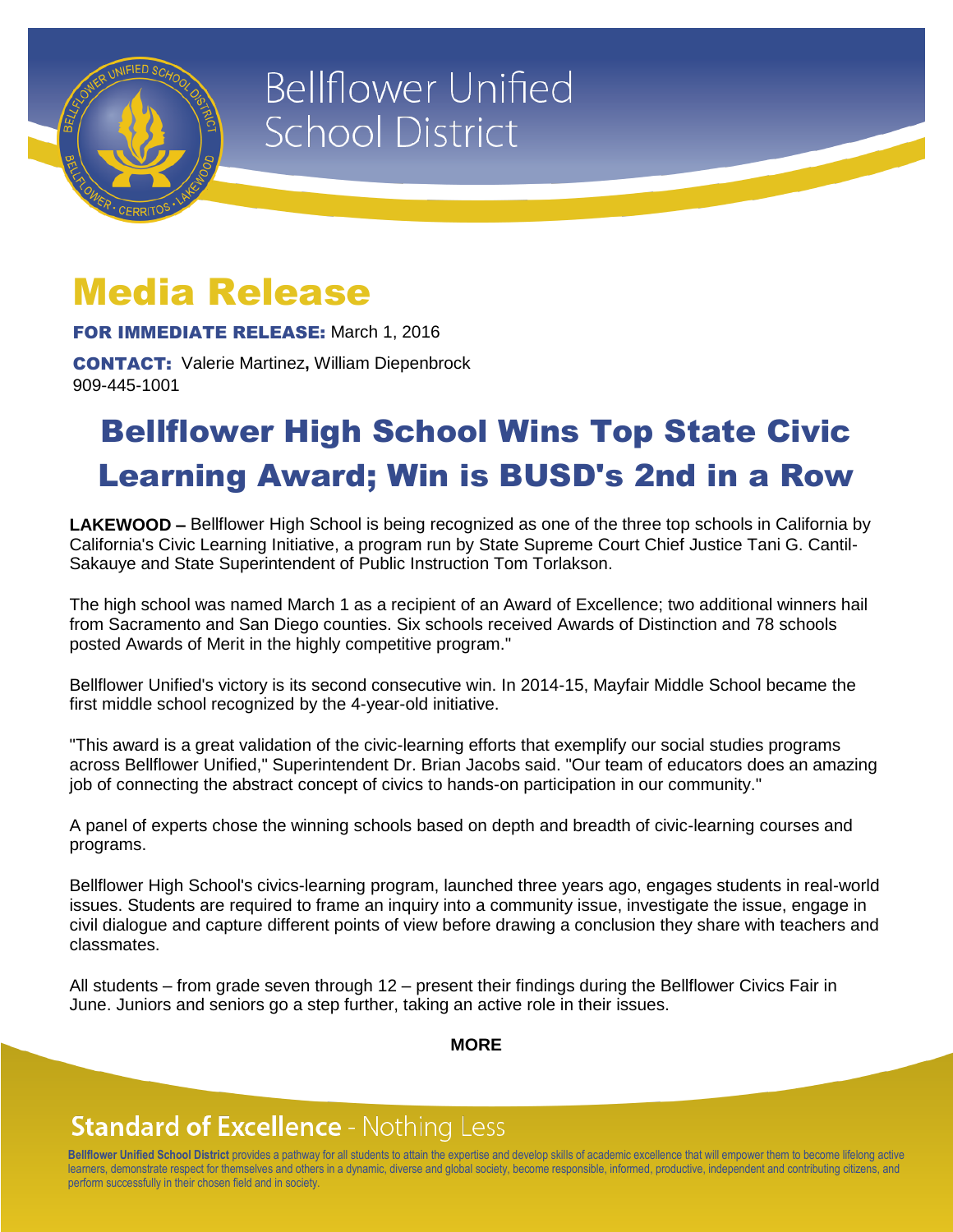

# **Bellflower Unified School District**

### Media Release

FOR IMMEDIATE RELEASE: March 1, 2016

CONTACT: Valerie Martinez**,** William Diepenbrock 909-445-1001

## Bellflower High School Wins Top State Civic Learning Award; Win is BUSD's 2nd in a Row

**LAKEWOOD –** Bellflower High School is being recognized as one of the three top schools in California by California's Civic Learning Initiative, a program run by State Supreme Court Chief Justice Tani G. Cantil-Sakauye and State Superintendent of Public Instruction Tom Torlakson.

The high school was named March 1 as a recipient of an Award of Excellence; two additional winners hail from Sacramento and San Diego counties. Six schools received Awards of Distinction and 78 schools posted Awards of Merit in the highly competitive program."

Bellflower Unified's victory is its second consecutive win. In 2014-15, Mayfair Middle School became the first middle school recognized by the 4-year-old initiative.

"This award is a great validation of the civic-learning efforts that exemplify our social studies programs across Bellflower Unified," Superintendent Dr. Brian Jacobs said. "Our team of educators does an amazing job of connecting the abstract concept of civics to hands-on participation in our community."

A panel of experts chose the winning schools based on depth and breadth of civic-learning courses and programs.

Bellflower High School's civics-learning program, launched three years ago, engages students in real-world issues. Students are required to frame an inquiry into a community issue, investigate the issue, engage in civil dialogue and capture different points of view before drawing a conclusion they share with teachers and classmates.

All students – from grade seven through 12 – present their findings during the Bellflower Civics Fair in June. Juniors and seniors go a step further, taking an active role in their issues.

**MORE**

### **Standard of Excellence - Nothing Less**

**Bellflower Unified School District** provides a pathway for all students to attain the expertise and develop skills of academic excellence that will empower them to become lifelong active learners, demonstrate respect for themselves and others in a dynamic, diverse and global society, become responsible, informed, productive, independent and contributing citizens, and perform successfully in their chosen field and in society.